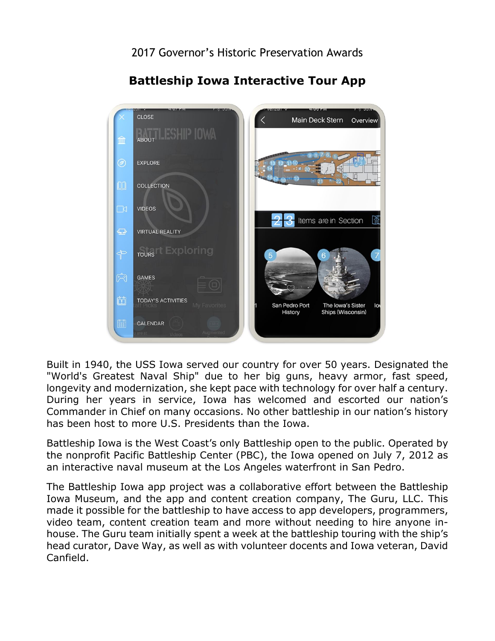

## **Battleship Iowa Interactive Tour App**

 Built in 1940, the USS Iowa served our country for over 50 years. Designated the "World's Greatest Naval Ship" due to her big guns, heavy armor, fast speed, longevity and modernization, she kept pace with technology for over half a century. During her years in service, Iowa has welcomed and escorted our nation's Commander in Chief on many occasions. No other battleship in our nation's history has been host to more U.S. Presidents than the Iowa.

 Battleship Iowa is the West Coast's only Battleship open to the public. Operated by the nonprofit Pacific Battleship Center (PBC), the Iowa opened on July 7, 2012 as an interactive naval museum at the Los Angeles waterfront in San Pedro.

 The Battleship Iowa app project was a collaborative effort between the Battleship Iowa Museum, and the app and content creation company, The Guru, LLC. This made it possible for the battleship to have access to app developers, programmers, video team, content creation team and more without needing to hire anyone inhouse. The Guru team initially spent a week at the battleship touring with the ship's head curator, Dave Way, as well as with volunteer docents and Iowa veteran, David Canfield.